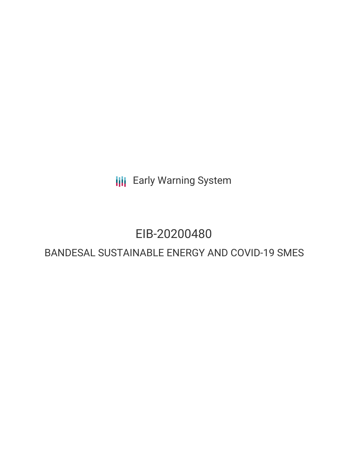**III** Early Warning System

## EIB-20200480

### BANDESAL SUSTAINABLE ENERGY AND COVID-19 SMES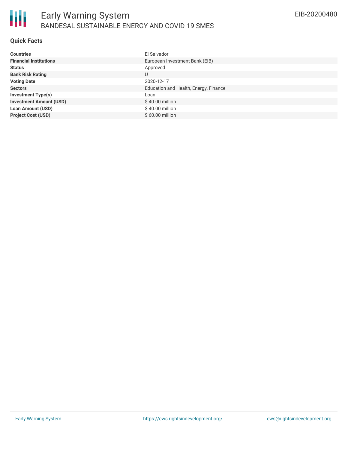#### **Quick Facts**

| <b>Countries</b>               | El Salvador                           |
|--------------------------------|---------------------------------------|
| <b>Financial Institutions</b>  | European Investment Bank (EIB)        |
| <b>Status</b>                  | Approved                              |
| <b>Bank Risk Rating</b>        | U                                     |
| <b>Voting Date</b>             | 2020-12-17                            |
| <b>Sectors</b>                 | Education and Health, Energy, Finance |
| <b>Investment Type(s)</b>      | Loan                                  |
| <b>Investment Amount (USD)</b> | $$40.00$ million                      |
| <b>Loan Amount (USD)</b>       | \$40.00 million                       |
| <b>Project Cost (USD)</b>      | $$60.00$ million                      |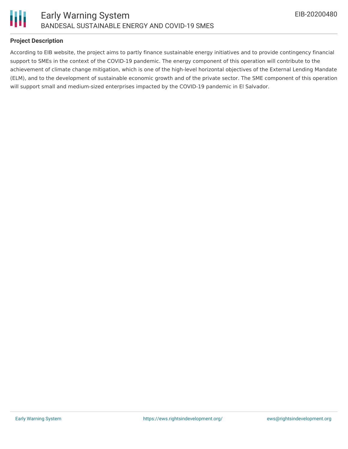

#### **Project Description**

According to EIB website, the project aims to partly finance sustainable energy initiatives and to provide contingency financial support to SMEs in the context of the COVID-19 pandemic. The energy component of this operation will contribute to the achievement of climate change mitigation, which is one of the high-level horizontal objectives of the External Lending Mandate (ELM), and to the development of sustainable economic growth and of the private sector. The SME component of this operation will support small and medium-sized enterprises impacted by the COVID-19 pandemic in El Salvador.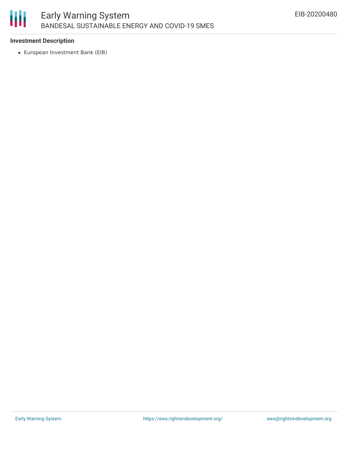# 冊

#### **Investment Description**

European Investment Bank (EIB)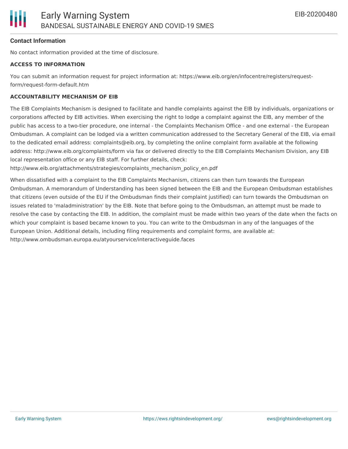#### **Contact Information**

No contact information provided at the time of disclosure.

#### **ACCESS TO INFORMATION**

You can submit an information request for project information at: https://www.eib.org/en/infocentre/registers/requestform/request-form-default.htm

#### **ACCOUNTABILITY MECHANISM OF EIB**

The EIB Complaints Mechanism is designed to facilitate and handle complaints against the EIB by individuals, organizations or corporations affected by EIB activities. When exercising the right to lodge a complaint against the EIB, any member of the public has access to a two-tier procedure, one internal - the Complaints Mechanism Office - and one external - the European Ombudsman. A complaint can be lodged via a written communication addressed to the Secretary General of the EIB, via email to the dedicated email address: complaints@eib.org, by completing the online complaint form available at the following address: http://www.eib.org/complaints/form via fax or delivered directly to the EIB Complaints Mechanism Division, any EIB local representation office or any EIB staff. For further details, check:

http://www.eib.org/attachments/strategies/complaints\_mechanism\_policy\_en.pdf

When dissatisfied with a complaint to the EIB Complaints Mechanism, citizens can then turn towards the European Ombudsman. A memorandum of Understanding has been signed between the EIB and the European Ombudsman establishes that citizens (even outside of the EU if the Ombudsman finds their complaint justified) can turn towards the Ombudsman on issues related to 'maladministration' by the EIB. Note that before going to the Ombudsman, an attempt must be made to resolve the case by contacting the EIB. In addition, the complaint must be made within two years of the date when the facts on which your complaint is based became known to you. You can write to the Ombudsman in any of the languages of the European Union. Additional details, including filing requirements and complaint forms, are available at: http://www.ombudsman.europa.eu/atyourservice/interactiveguide.faces